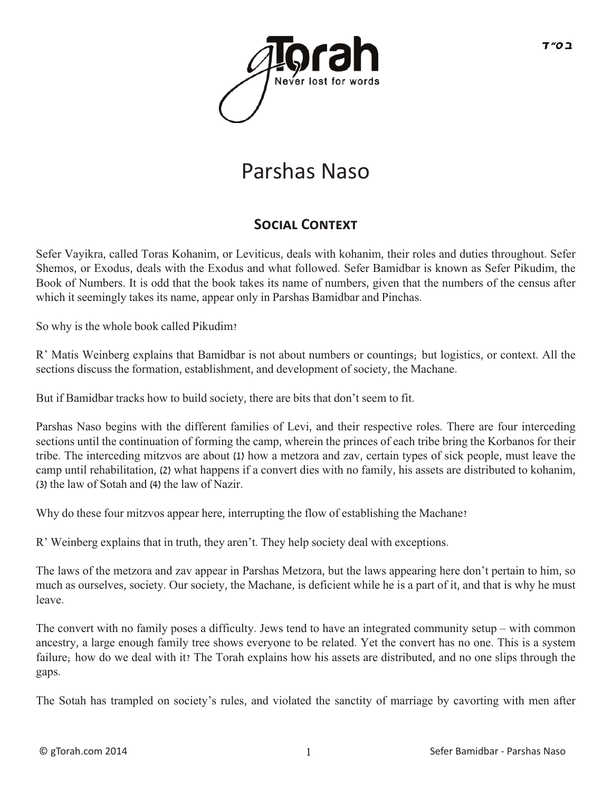

# Parshas Naso

### SOCIAL CONTEXT

Sefer Vayikra, called Toras Kohanim, or Leviticus, deals with kohanim, their roles and duties throughout. Sefer Shemos, or Exodus, deals with the Exodus and what followed. Sefer Bamidbar is known as Sefer Pikudim, the Book of Numbers. It is odd that the book takes its name of numbers, given that the numbers of the census after which it seemingly takes its name, appear only in Parshas Bamidbar and Pinchas.

So why is the whole book called Pikudim?

R' Matis Weinberg explains that Bamidbar is not about numbers or countings; but logistics, or context. All the sections discuss the formation, establishment, and development of society, the Machane.

But if Bamidbar tracks how to build society, there are bits that don't seem to fit.

Parshas Naso begins with the different families of Levi, and their respective roles. There are four interceding sections until the continuation of forming the camp, wherein the princes of each tribe bring the Korbanos for their tribe. The interceding mitzvos are about (1) how a metzora and zav, certain types of sick people, must leave the camp until rehabilitation, (2) what happens if a convert dies with no family, his assets are distributed to kohanim, (3) the law of Sotah and (4) the law of Nazir.

Why do these four mitzvos appear here, interrupting the flow of establishing the Machane?

R' Weinberg explains that in truth, they aren't. They help society deal with exceptions.

The laws of the metzora and zav appear in Parshas Metzora, but the laws appearing here don't pertain to him, so much as ourselves, society. Our society, the Machane, is deficient while he is a part of it, and that is why he must leave.

The convert with no family poses a difficulty. Jews tend to have an integrated community setup – with common ancestry, a large enough family tree shows everyone to be related. Yet the convert has no one. This is a system failure; how do we deal with it? The Torah explains how his assets are distributed, and no one slips through the gaps.

The Sotah has trampled on society's rules, and violated the sanctity of marriage by cavorting with men after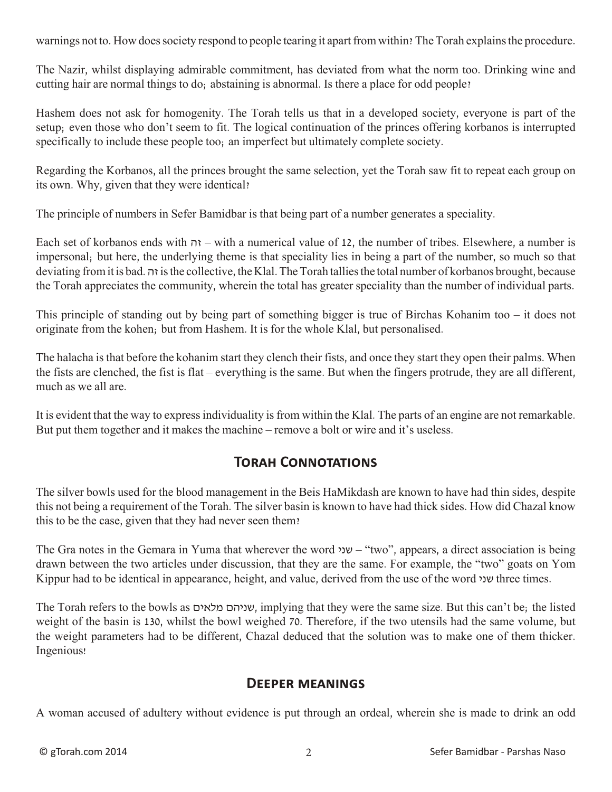warnings not to. How does society respond to people tearing it apart from within? The Torah explains the procedure.

The Nazir, whilst displaying admirable commitment, has deviated from what the norm too. Drinking wine and cutting hair are normal things to do; abstaining is abnormal. Is there a place for odd people?

Hashem does not ask for homogenity. The Torah tells us that in a developed society, everyone is part of the setup; even those who don't seem to fit. The logical continuation of the princes offering korbanos is interrupted specifically to include these people too; an imperfect but ultimately complete society.

Regarding the Korbanos, all the princes brought the same selection, yet the Torah saw fit to repeat each group on its own. Why, given that they were identical?

The principle of numbers in Sefer Bamidbar is that being part of a number generates a speciality.

Each set of korbanos ends with זה – with a numerical value of 12, the number of tribes. Elsewhere, a number is impersonal; but here, the underlying theme is that speciality lies in being a part of the number, so much so that deviating from it is bad. זה is the collective, the Klal. The Torah tallies the total number of korbanos brought, because the Torah appreciates the community, wherein the total has greater speciality than the number of individual parts.

This principle of standing out by being part of something bigger is true of Birchas Kohanim too – it does not originate from the kohen; but from Hashem. It is for the whole Klal, but personalised.

The halacha is that before the kohanim start they clench their fists, and once they start they open their palms. When the fists are clenched, the fist is flat – everything is the same. But when the fingers protrude, they are all different, much as we all are.

It is evident that the way to express individuality is from within the Klal. The parts of an engine are not remarkable. But put them together and it makes the machine – remove a bolt or wire and it's useless.

### **Torah Connotations**

The silver bowls used for the blood management in the Beis HaMikdash are known to have had thin sides, despite this not being a requirement of the Torah. The silver basin is known to have had thick sides. How did Chazal know this to be the case, given that they had never seen them?

The Gra notes in the Gemara in Yuma that wherever the word  $v -$ "two", appears, a direct association is being drawn between the two articles under discussion, that they are the same. For example, the "two" goats on Yom Kippur had to be identical in appearance, height, and value, derived from the use of the word שני three times.

The Torah refers to the bowls as מלאים שניהם, implying that they were the same size. But this can't be; the listed weight of the basin is 130, whilst the bowl weighed 70. Therefore, if the two utensils had the same volume, but the weight parameters had to be different, Chazal deduced that the solution was to make one of them thicker. Ingenious!

#### **Deeper meanings**

A woman accused of adultery without evidence is put through an ordeal, wherein she is made to drink an odd